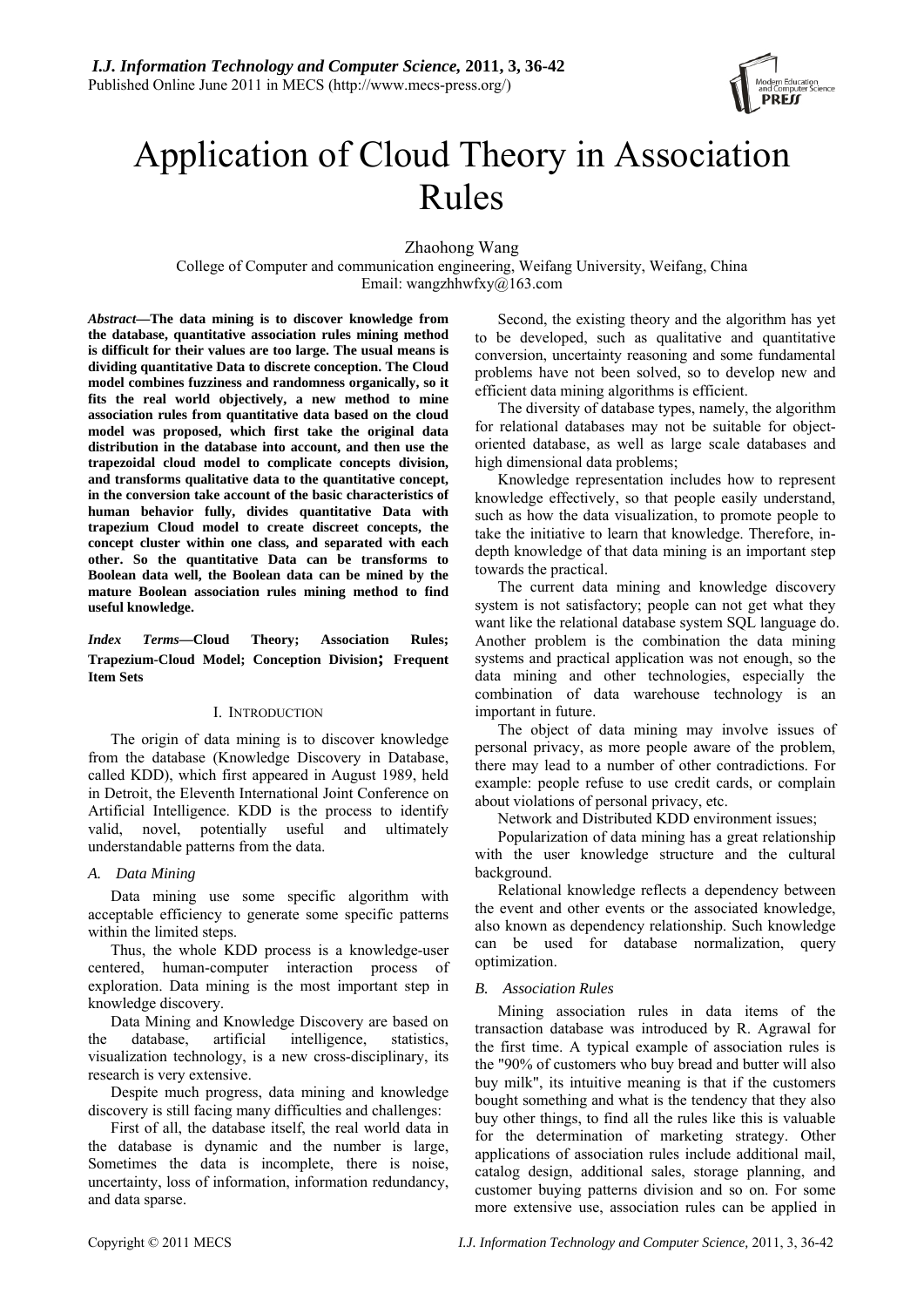

# Application of Cloud Theory in Association Rules

Zhaohong Wang

College of Computer and communication engineering, Weifang University, Weifang, China Email: wangzhhwfxy@163.com

*Abstract***—The data mining is to discover knowledge from the database, quantitative association rules mining method is difficult for their values are too large. The usual means is dividing quantitative Data to discrete conception. The Cloud model combines fuzziness and randomness organically, so it fits the real world objectively, a new method to mine association rules from quantitative data based on the cloud model was proposed, which first take the original data distribution in the database into account, and then use the trapezoidal cloud model to complicate concepts division, and transforms qualitative data to the quantitative concept, in the conversion take account of the basic characteristics of human behavior fully, divides quantitative Data with trapezium Cloud model to create discreet concepts, the concept cluster within one class, and separated with each other. So the quantitative Data can be transforms to Boolean data well, the Boolean data can be mined by the mature Boolean association rules mining method to find useful knowledge.** 

*Index Terms***—Cloud Theory; Association Rules; Trapezium-Cloud Model; Conception Division; Frequent Item Sets** 

#### I. INTRODUCTION

The origin of data mining is to discover knowledge from the database (Knowledge Discovery in Database, called KDD), which first appeared in August 1989, held in Detroit, the Eleventh International Joint Conference on Artificial Intelligence. KDD is the process to identify valid, novel, potentially useful and ultimately understandable patterns from the data.

# *A. Data Mining*

Data mining use some specific algorithm with acceptable efficiency to generate some specific patterns within the limited steps.

Thus, the whole KDD process is a knowledge-user centered, human-computer interaction process of exploration. Data mining is the most important step in knowledge discovery.

Data Mining and Knowledge Discovery are based on the database, artificial intelligence, statistics, visualization technology, is a new cross-disciplinary, its research is very extensive.

Despite much progress, data mining and knowledge discovery is still facing many difficulties and challenges:

First of all, the database itself, the real world data in the database is dynamic and the number is large, Sometimes the data is incomplete, there is noise, uncertainty, loss of information, information redundancy, and data sparse.

Second, the existing theory and the algorithm has yet to be developed, such as qualitative and quantitative conversion, uncertainty reasoning and some fundamental problems have not been solved, so to develop new and efficient data mining algorithms is efficient.

The diversity of database types, namely, the algorithm for relational databases may not be suitable for objectoriented database, as well as large scale databases and high dimensional data problems;

Knowledge representation includes how to represent knowledge effectively, so that people easily understand, such as how the data visualization, to promote people to take the initiative to learn that knowledge. Therefore, indepth knowledge of that data mining is an important step towards the practical.

The current data mining and knowledge discovery system is not satisfactory; people can not get what they want like the relational database system SQL language do. Another problem is the combination the data mining systems and practical application was not enough, so the data mining and other technologies, especially the combination of data warehouse technology is an important in future.

The object of data mining may involve issues of personal privacy, as more people aware of the problem, there may lead to a number of other contradictions. For example: people refuse to use credit cards, or complain about violations of personal privacy, etc.

Network and Distributed KDD environment issues;

Popularization of data mining has a great relationship with the user knowledge structure and the cultural background.

Relational knowledge reflects a dependency between the event and other events or the associated knowledge, also known as dependency relationship. Such knowledge can be used for database normalization, query optimization.

# *B. Association Rules*

Mining association rules in data items of the transaction database was introduced by R. Agrawal for the first time. A typical example of association rules is the "90% of customers who buy bread and butter will also buy milk", its intuitive meaning is that if the customers bought something and what is the tendency that they also buy other things, to find all the rules like this is valuable for the determination of marketing strategy. Other applications of association rules include additional mail, catalog design, additional sales, storage planning, and customer buying patterns division and so on. For some more extensive use, association rules can be applied in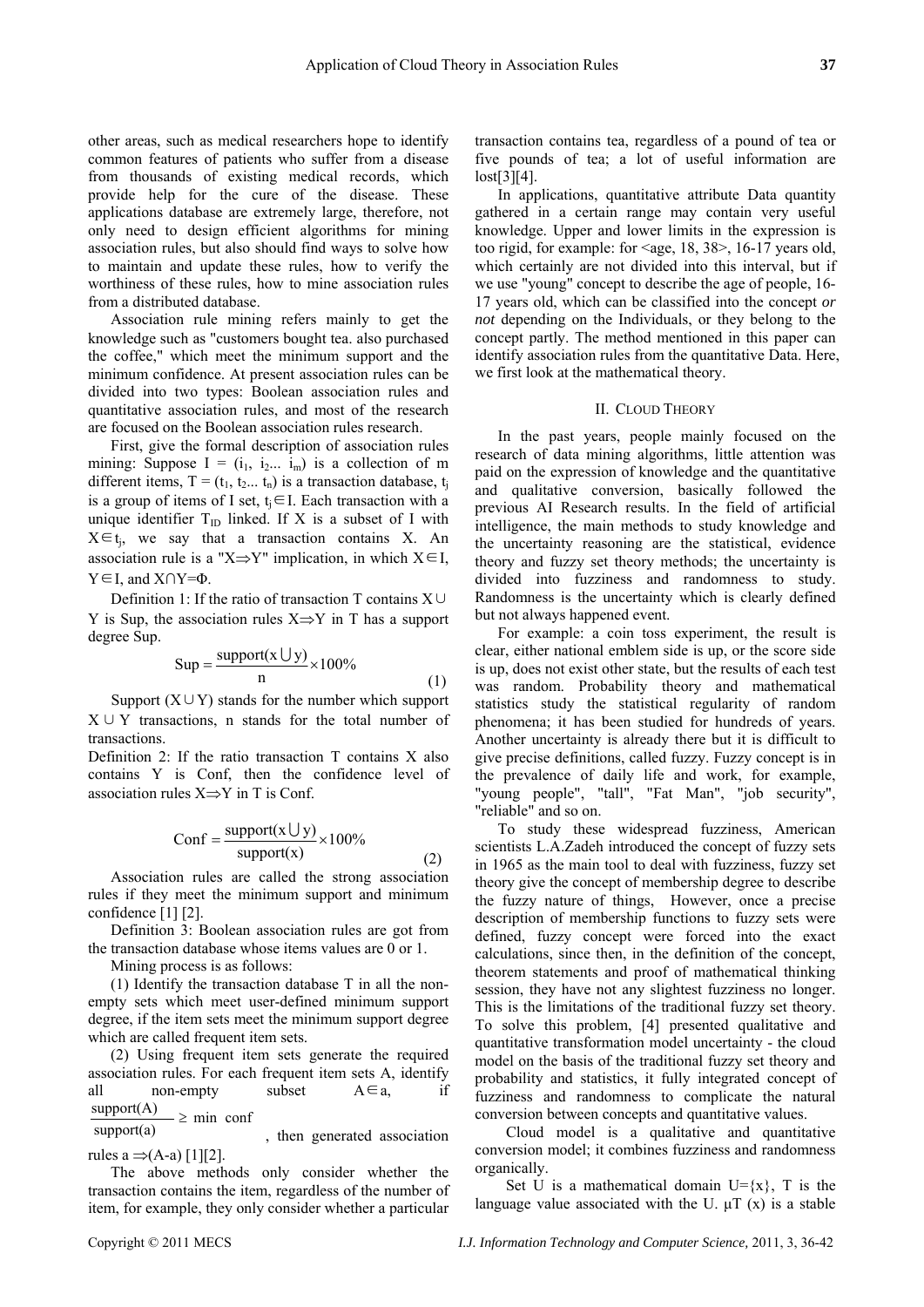other areas, such as medical researchers hope to identify common features of patients who suffer from a disease from thousands of existing medical records, which provide help for the cure of the disease. These applications database are extremely large, therefore, not only need to design efficient algorithms for mining association rules, but also should find ways to solve how to maintain and update these rules, how to verify the worthiness of these rules, how to mine association rules from a distributed database.

Association rule mining refers mainly to get the knowledge such as "customers bought tea. also purchased the coffee," which meet the minimum support and the minimum confidence. At present association rules can be divided into two types: Boolean association rules and quantitative association rules, and most of the research are focused on the Boolean association rules research.

First, give the formal description of association rules mining: Suppose  $I = (i_1, i_2, \ldots, i_m)$  is a collection of m different items,  $T = (t_1, t_2, \ldots, t_n)$  is a transaction database,  $t_i$ is a group of items of I set,  $t_i \in I$ . Each transaction with a unique identifier  $T_{ID}$  linked. If X is a subset of I with  $X \in t_i$ , we say that a transaction contains X. An association rule is a "X⇒Y" implication, in which  $X \in I$ ,  $Y \in I$ , and  $X \cap Y = \Phi$ .

Definition 1: If the ratio of transaction T contains X∪ Y is Sup, the association rules  $X \Rightarrow Y$  in T has a support degree Sup.

$$
Sup = \frac{\text{support}(x \cup y)}{n} \times 100\%
$$

(1)

Support  $(X \cup Y)$  stands for the number which support X∪Y transactions, n stands for the total number of transactions.

Definition 2: If the ratio transaction T contains X also contains Y is Conf, then the confidence level of association rules X⇒Y in T is Conf.

$$
Conf = \frac{support(x \cup y)}{support(x)} \times 100\%
$$
 (2)

Association rules are called the strong association rules if they meet the minimum support and minimum confidence [1] [2].

Definition 3: Boolean association rules are got from the transaction database whose items values are 0 or 1.

Mining process is as follows:

(1) Identify the transaction database T in all the nonempty sets which meet user-defined minimum support degree, if the item sets meet the minimum support degree which are called frequent item sets.

(2) Using frequent item sets generate the required association rules. For each frequent item sets A, identify all non-empty subset  $A \in a$ , if  $- \geq$  min conf  $support(A)$ 

support(a) , then generated association rules a  $\Rightarrow$  (A-a) [1][2].

The above methods only consider whether the transaction contains the item, regardless of the number of item, for example, they only consider whether a particular

transaction contains tea, regardless of a pound of tea or five pounds of tea; a lot of useful information are lost[3][4].

In applications, quantitative attribute Data quantity gathered in a certain range may contain very useful knowledge. Upper and lower limits in the expression is too rigid, for example: for  $\langle 4.8, 38 \rangle$ , 16-17 years old, which certainly are not divided into this interval, but if we use "young" concept to describe the age of people, 16- 17 years old, which can be classified into the concept *or not* depending on the Individuals, or they belong to the concept partly. The method mentioned in this paper can identify association rules from the quantitative Data. Here, we first look at the mathematical theory.

#### II. CLOUD THEORY

In the past years, people mainly focused on the research of data mining algorithms, little attention was paid on the expression of knowledge and the quantitative and qualitative conversion, basically followed the previous AI Research results. In the field of artificial intelligence, the main methods to study knowledge and the uncertainty reasoning are the statistical, evidence theory and fuzzy set theory methods; the uncertainty is divided into fuzziness and randomness to study. Randomness is the uncertainty which is clearly defined but not always happened event.

For example: a coin toss experiment, the result is clear, either national emblem side is up, or the score side is up, does not exist other state, but the results of each test was random. Probability theory and mathematical statistics study the statistical regularity of random phenomena; it has been studied for hundreds of years. Another uncertainty is already there but it is difficult to give precise definitions, called fuzzy. Fuzzy concept is in the prevalence of daily life and work, for example, "young people", "tall", "Fat Man", "job security", "reliable" and so on.

To study these widespread fuzziness, American scientists L.A.Zadeh introduced the concept of fuzzy sets in 1965 as the main tool to deal with fuzziness, fuzzy set theory give the concept of membership degree to describe the fuzzy nature of things, However, once a precise description of membership functions to fuzzy sets were defined, fuzzy concept were forced into the exact calculations, since then, in the definition of the concept, theorem statements and proof of mathematical thinking session, they have not any slightest fuzziness no longer. This is the limitations of the traditional fuzzy set theory. To solve this problem, [4] presented qualitative and quantitative transformation model uncertainty - the cloud model on the basis of the traditional fuzzy set theory and probability and statistics, it fully integrated concept of fuzziness and randomness to complicate the natural conversion between concepts and quantitative values.

Cloud model is a qualitative and quantitative conversion model; it combines fuzziness and randomness organically.

Set U is a mathematical domain  $U = \{x\}$ , T is the language value associated with the U.  $\mu$ T (x) is a stable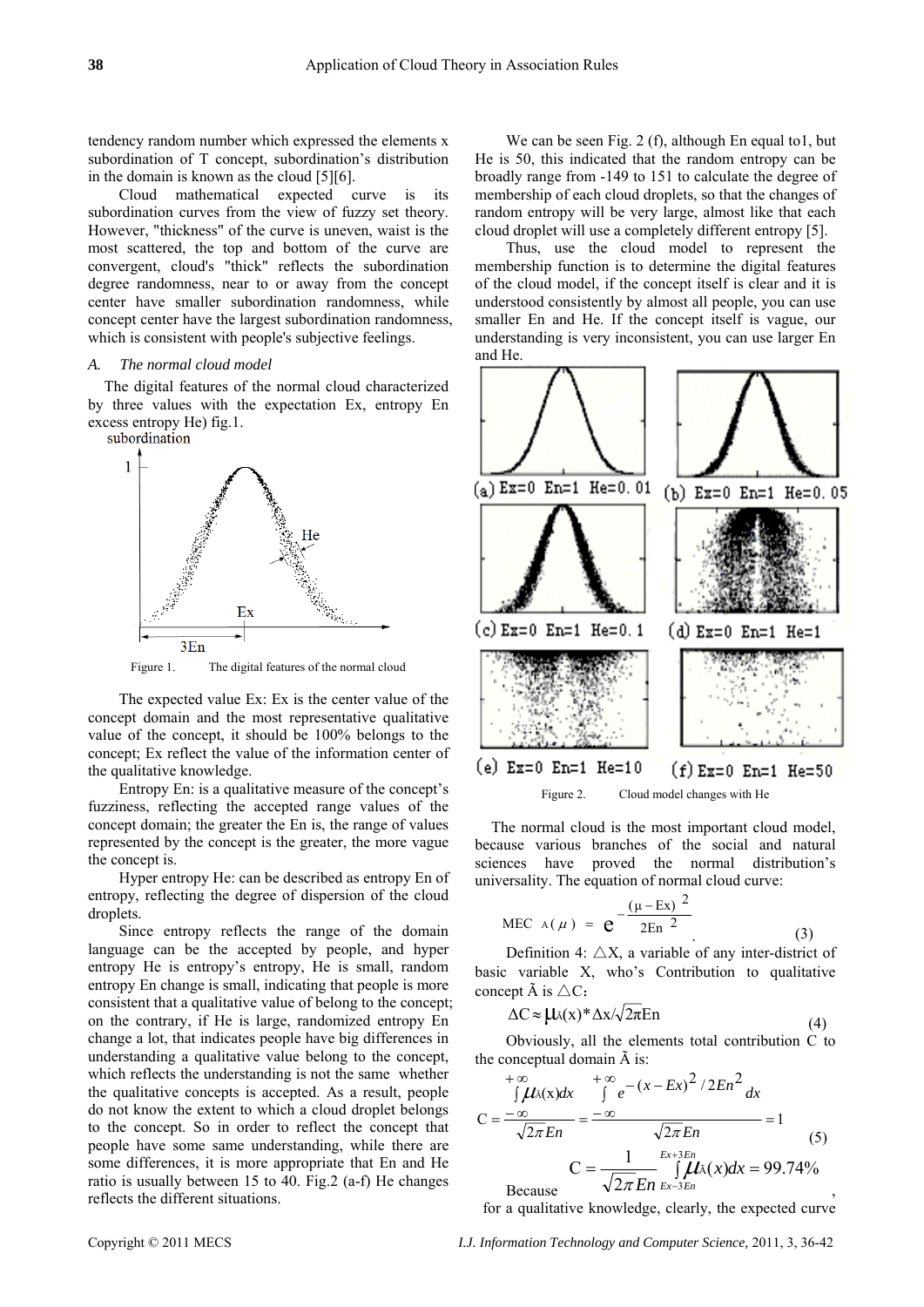tendency random number which expressed the elements x subordination of T concept, subordination's distribution in the domain is known as the cloud [5][6].

Cloud mathematical expected curve is its subordination curves from the view of fuzzy set theory. However, "thickness" of the curve is uneven, waist is the most scattered, the top and bottom of the curve are convergent, cloud's "thick" reflects the subordination degree randomness, near to or away from the concept center have smaller subordination randomness, while concept center have the largest subordination randomness, which is consistent with people's subjective feelings.

#### *A. The normal cloud model*

The digital features of the normal cloud characterized by three values with the expectation Ex, entropy En excess entropy He) fig.1.<br>subordination



Figure 1. The digital features of the normal cloud

The expected value Ex: Ex is the center value of the concept domain and the most representative qualitative value of the concept, it should be 100% belongs to the concept; Ex reflect the value of the information center of the qualitative knowledge.

Entropy En: is a qualitative measure of the concept's fuzziness, reflecting the accepted range values of the concept domain; the greater the En is, the range of values represented by the concept is the greater, the more vague the concept is.

Hyper entropy He: can be described as entropy En of entropy, reflecting the degree of dispersion of the cloud droplets.

Since entropy reflects the range of the domain language can be the accepted by people, and hyper entropy He is entropy's entropy, He is small, random entropy En change is small, indicating that people is more consistent that a qualitative value of belong to the concept; on the contrary, if He is large, randomized entropy En change a lot, that indicates people have big differences in understanding a qualitative value belong to the concept, which reflects the understanding is not the same whether the qualitative concepts is accepted. As a result, people do not know the extent to which a cloud droplet belongs to the concept. So in order to reflect the concept that people have some same understanding, while there are some differences, it is more appropriate that En and He ratio is usually between 15 to 40. Fig.2 (a-f) He changes reflects the different situations.

We can be seen Fig. 2 (f), although En equal to 1, but He is 50, this indicated that the random entropy can be broadly range from -149 to 151 to calculate the degree of membership of each cloud droplets, so that the changes of random entropy will be very large, almost like that each cloud droplet will use a completely different entropy [5].

Thus, use the cloud model to represent the membership function is to determine the digital features of the cloud model, if the concept itself is clear and it is understood consistently by almost all people, you can use smaller En and He. If the concept itself is vague, our understanding is very inconsistent, you can use larger En and He.



The normal cloud is the most important cloud model, because various branches of the social and natural sciences have proved the normal distribution's universality. The equation of normal cloud curve:

MEC A(
$$
\mu
$$
) =  $e^{-\frac{(\mu - Ex)^2}{2En^2}}$  (3)

Definition 4:  $\triangle X$ , a variable of any inter-district of basic variable X, who's Contribution to qualitative concept  $\tilde{A}$  is  $\triangle C$ :

$$
\Delta C \approx \mu_{\lambda}(x)^* \Delta x / \sqrt{2\pi} \text{En}
$$
 (4)

Obviously, all the elements total contribution C to the conceptual domain  $\tilde{A}$  is:

$$
+ \infty
$$
  
\n
$$
\int \mu_{\lambda}(x) dx
$$
\n
$$
= \frac{-\infty}{\sqrt{2\pi E n}} = \frac{-\infty}{\sqrt{2\pi E n}} = 1
$$
\n
$$
C = \frac{1}{\sqrt{2\pi E n}} \int \mu_{\lambda}(x) dx = 99.74\%
$$
\nBecause

for a qualitative knowledge, clearly, the expected curve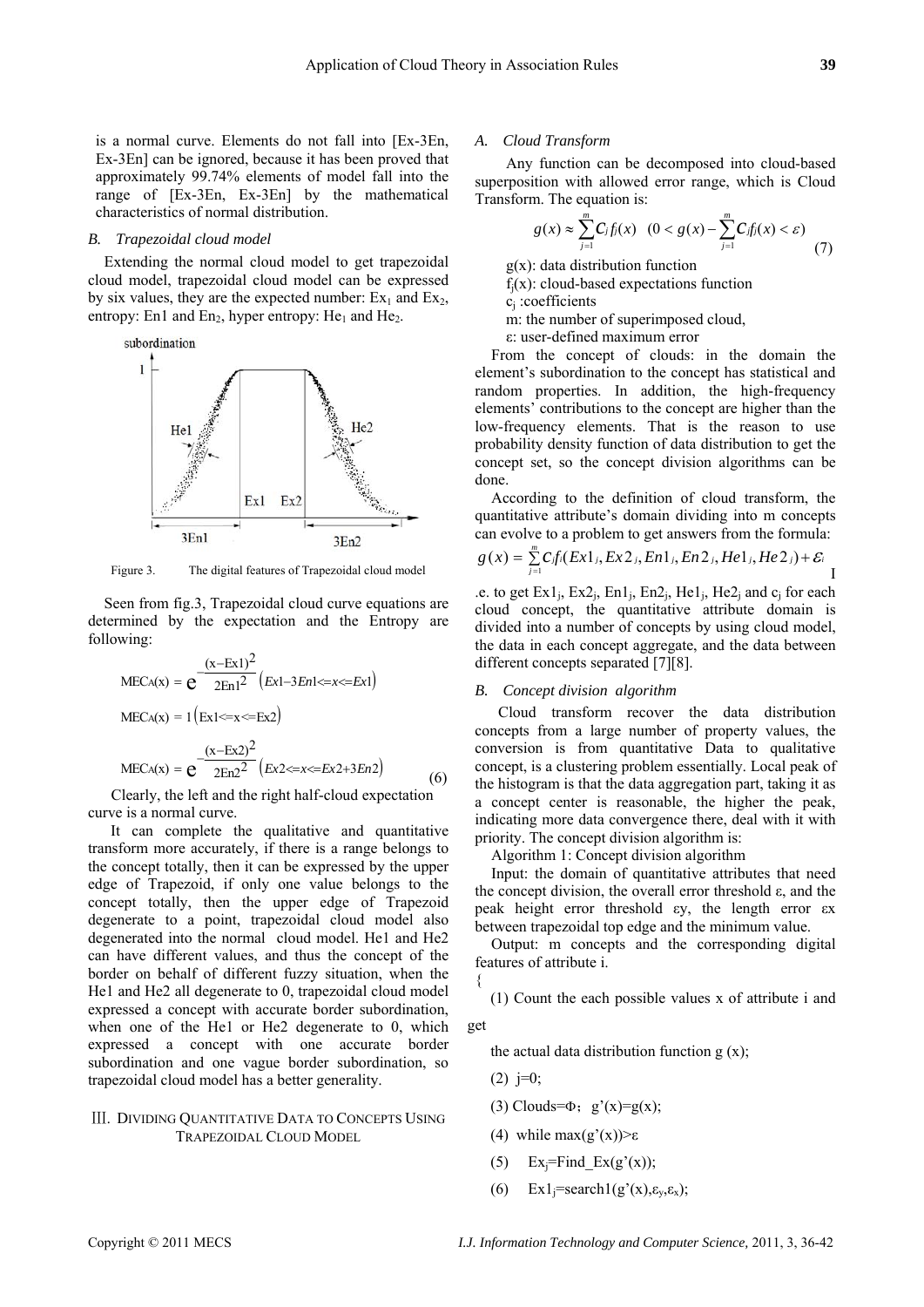is a normal curve. Elements do not fall into [Ex-3En, Ex-3En] can be ignored, because it has been proved that approximately 99.74% elements of model fall into the range of [Ex-3En, Ex-3En] by the mathematical characteristics of normal distribution.

#### *B. Trapezoidal cloud model*

Extending the normal cloud model to get trapezoidal cloud model, trapezoidal cloud model can be expressed by six values, they are the expected number:  $Ex_1$  and  $Ex_2$ , entropy: En1 and En<sub>2</sub>, hyper entropy: He<sub>1</sub> and He<sub>2</sub>.



Figure 3. The digital features of Trapezoidal cloud model

Seen from fig.3, Trapezoidal cloud curve equations are determined by the expectation and the Entropy are following:

$$
MECA(x) = e^{\frac{(x - Ex1)^2}{2En1^2} (Ex1 - 3En1 < x < Ex]}
$$
  
\n
$$
MECA(x) = 1 (Ex1 < x < Ex)
$$
  
\n
$$
MECA(x) = e^{\frac{(x - Ex2)^2}{2En2^2} (Ex2 < x < Ex^2 + 3En2)}
$$
 (6)

Clearly, the left and the right half-cloud expectation curve is a normal curve.

It can complete the qualitative and quantitative transform more accurately, if there is a range belongs to the concept totally, then it can be expressed by the upper edge of Trapezoid, if only one value belongs to the concept totally, then the upper edge of Trapezoid degenerate to a point, trapezoidal cloud model also degenerated into the normal cloud model. He1 and He2 can have different values, and thus the concept of the border on behalf of different fuzzy situation, when the He1 and He2 all degenerate to 0, trapezoidal cloud model expressed a concept with accurate border subordination, when one of the He1 or He2 degenerate to 0, which expressed a concept with one accurate border subordination and one vague border subordination, so trapezoidal cloud model has a better generality.

### Ⅲ. DIVIDING QUANTITATIVE DATA TO CONCEPTS USING TRAPEZOIDAL CLOUD MODEL

#### *A. Cloud Transform*

Any function can be decomposed into cloud-based superposition with allowed error range, which is Cloud Transform. The equation is:

$$
g(x) \approx \sum_{j=1}^{m} C_j f_j(x) \quad (0 < g(x) - \sum_{j=1}^{m} C_j f_j(x) < \varepsilon) \tag{7}
$$

 $g(x)$ : data distribution function

 $f_i(x)$ : cloud-based expectations function

c<sub>i</sub>:coefficients

m: the number of superimposed cloud,

ε: user-defined maximum error

From the concept of clouds: in the domain the element's subordination to the concept has statistical and random properties. In addition, the high-frequency elements' contributions to the concept are higher than the low-frequency elements. That is the reason to use probability density function of data distribution to get the concept set, so the concept division algorithms can be done.

According to the definition of cloud transform, the quantitative attribute's domain dividing into m concepts can evolve to a problem to get answers from the formula:

$$
g(x) = \sum_{j=1}^{m} C_j f_i(Ex1_j, Ex2_j, En1_j, En2_j, He1_j, He2_j) + \mathcal{E}_i
$$

.e. to get  $Ex1_i$ ,  $Ex2_i$ ,  $En1_i$ ,  $En2_i$ ,  $He1_i$ ,  $He2_i$  and  $c_i$  for each cloud concept, the quantitative attribute domain is divided into a number of concepts by using cloud model, the data in each concept aggregate, and the data between different concepts separated [7][8].

# *B. Concept division algorithm*

Cloud transform recover the data distribution concepts from a large number of property values, the conversion is from quantitative Data to qualitative concept, is a clustering problem essentially. Local peak of the histogram is that the data aggregation part, taking it as a concept center is reasonable, the higher the peak, indicating more data convergence there, deal with it with priority. The concept division algorithm is:

Algorithm 1: Concept division algorithm

Input: the domain of quantitative attributes that need the concept division, the overall error threshold ε, and the peak height error threshold εy, the length error εx between trapezoidal top edge and the minimum value.

Output: m concepts and the corresponding digital features of attribute i.

(1) Count the each possible values x of attribute i and

#### get

{

the actual data distribution function  $g(x)$ ;

- $(2)$  j=0;
- (3) Clouds= $\Phi$ ; g'(x)=g(x);
- (4) while max $(g'(x)) > ε$
- (5) Ex<sub>i</sub>=Find Ex(g'(x));
- (6) Ex1<sub>i</sub>=search1(g'(x), $\varepsilon_y$ , $\varepsilon_x$ );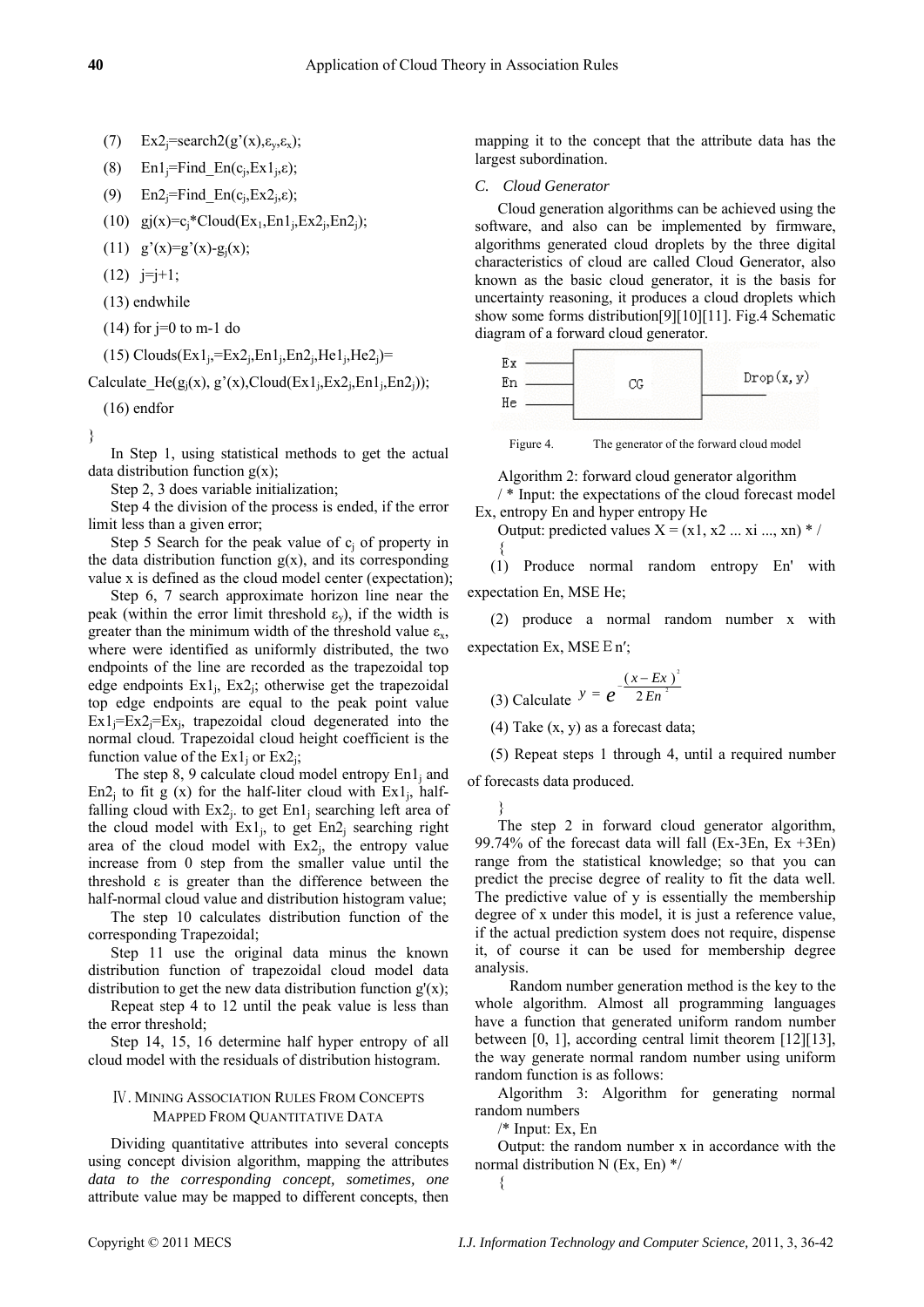- (7)  $Ex2<sub>i</sub>=search2(g'(x), \varepsilon_{y}, \varepsilon_{x});$
- (8) En1<sub>i</sub>=Find En(c<sub>i</sub>,Ex1<sub>i</sub>, $\varepsilon$ );
- (9)  $En2_i = Find\_En(c_i, Ex2_i, \varepsilon);$
- (10)  $gi(x)=c_i*Cloud(Ex_1,En1_i, Ex2_i, En2_i);$
- (11)  $g'(x)=g'(x)-g_1(x);$
- $(12)$  j=j+1;
- (13) endwhile
- $(14)$  for j=0 to m-1 do

(15) Clouds $(Ex1_i=Ex2_i,En1_i,En2_i,He1_i,He2_i)$ =

Calculate\_He( $g_i(x)$ ,  $g'(x)$ ,Cloud(Ex1<sub>i</sub>,Ex2<sub>i</sub>,En1<sub>i</sub>,En2<sub>i</sub>));

(16) endfor

}

In Step 1, using statistical methods to get the actual data distribution function  $g(x)$ ;

Step 2, 3 does variable initialization;

Step 4 the division of the process is ended, if the error limit less than a given error;

Step 5 Search for the peak value of  $c_i$  of property in the data distribution function  $g(x)$ , and its corresponding value x is defined as the cloud model center (expectation);

Step 6, 7 search approximate horizon line near the peak (within the error limit threshold  $\varepsilon_v$ ), if the width is greater than the minimum width of the threshold value  $\varepsilon_{x}$ , where were identified as uniformly distributed, the two endpoints of the line are recorded as the trapezoidal top edge endpoints  $Ex1_i$ ,  $Ex2_i$ ; otherwise get the trapezoidal top edge endpoints are equal to the peak point value  $Ex1_i=Ex2_i=Ex_i$ , trapezoidal cloud degenerated into the normal cloud. Trapezoidal cloud height coefficient is the function value of the  $Ex1_i$  or  $Ex2_i$ ;

The step 8, 9 calculate cloud model entropy  $En1<sub>i</sub>$  and En2<sub>i</sub> to fit g (x) for the half-liter cloud with  $Ex1$ , halffalling cloud with  $Ex2_i$ . to get  $En1_i$  searching left area of the cloud model with  $Ex1_i$ , to get  $En2_i$  searching right area of the cloud model with  $Ex2<sub>i</sub>$ , the entropy value increase from 0 step from the smaller value until the threshold ε is greater than the difference between the half-normal cloud value and distribution histogram value;

The step 10 calculates distribution function of the corresponding Trapezoidal;

Step 11 use the original data minus the known distribution function of trapezoidal cloud model data distribution to get the new data distribution function  $g'(x)$ ;

Repeat step 4 to 12 until the peak value is less than the error threshold;

Step 14, 15, 16 determine half hyper entropy of all cloud model with the residuals of distribution histogram.

## Ⅳ. MINING ASSOCIATION RULES FROM CONCEPTS MAPPED FROM QUANTITATIVE DATA

Dividing quantitative attributes into several concepts using concept division algorithm, mapping the attributes *data to the corresponding concept, sometimes, one* attribute value may be mapped to different concepts, the

mapping it to the concept that the attribute data has the largest subordination.

*C. Cloud Generator* 

Cloud generation algorithms can be achieved using the software, and also can be implemented by firmware, algorithms generated cloud droplets by the three digital characteristics of cloud are called Cloud Generator, also known as the basic cloud generator, it is the basis for uncertainty reasoning, it produces a cloud droplets which show some forms distribution[9][10][11]. Fig.4 Schematic diagram of a forward cloud generator.



Figure 4. The generator of the forward cloud model

Algorithm 2: forward cloud generator algorithm

/ \* Input: the expectations of the cloud forecast model Ex, entropy En and hyper entropy He

Output: predicted values  $X = (x1, x2... xi ... , xn)*/$ {

(1) Produce normal random entropy En' with expectation En, MSE He;

(2) produce a normal random number x with expectation Ex, MSE  $E n'$ ;

(3) Calculate 
$$
y = e^{-\frac{(x - Ex)^2}{2En^2}}
$$

(4) Take (x, y) as a forecast data;

(5) Repeat steps 1 through 4, until a required number

of forecasts data produced.

}

The step 2 in forward cloud generator algorithm, 99.74% of the forecast data will fall (Ex-3En, Ex +3En) range from the statistical knowledge; so that you can predict the precise degree of reality to fit the data well. The predictive value of y is essentially the membership degree of x under this model, it is just a reference value, if the actual prediction system does not require, dispense it, of course it can be used for membership degree analysis.

 Random number generation method is the key to the whole algorithm. Almost all programming languages have a function that generated uniform random number between [0, 1], according central limit theorem [12][13], the way generate normal random number using uniform random function is as follows:

Algorithm 3: Algorithm for generating normal random numbers

/\* Input: Ex, En

{

Output: the random number x in accordance with the normal distribution N (Ex, En) \*/

$$
_{\rm en}^{\rm se}
$$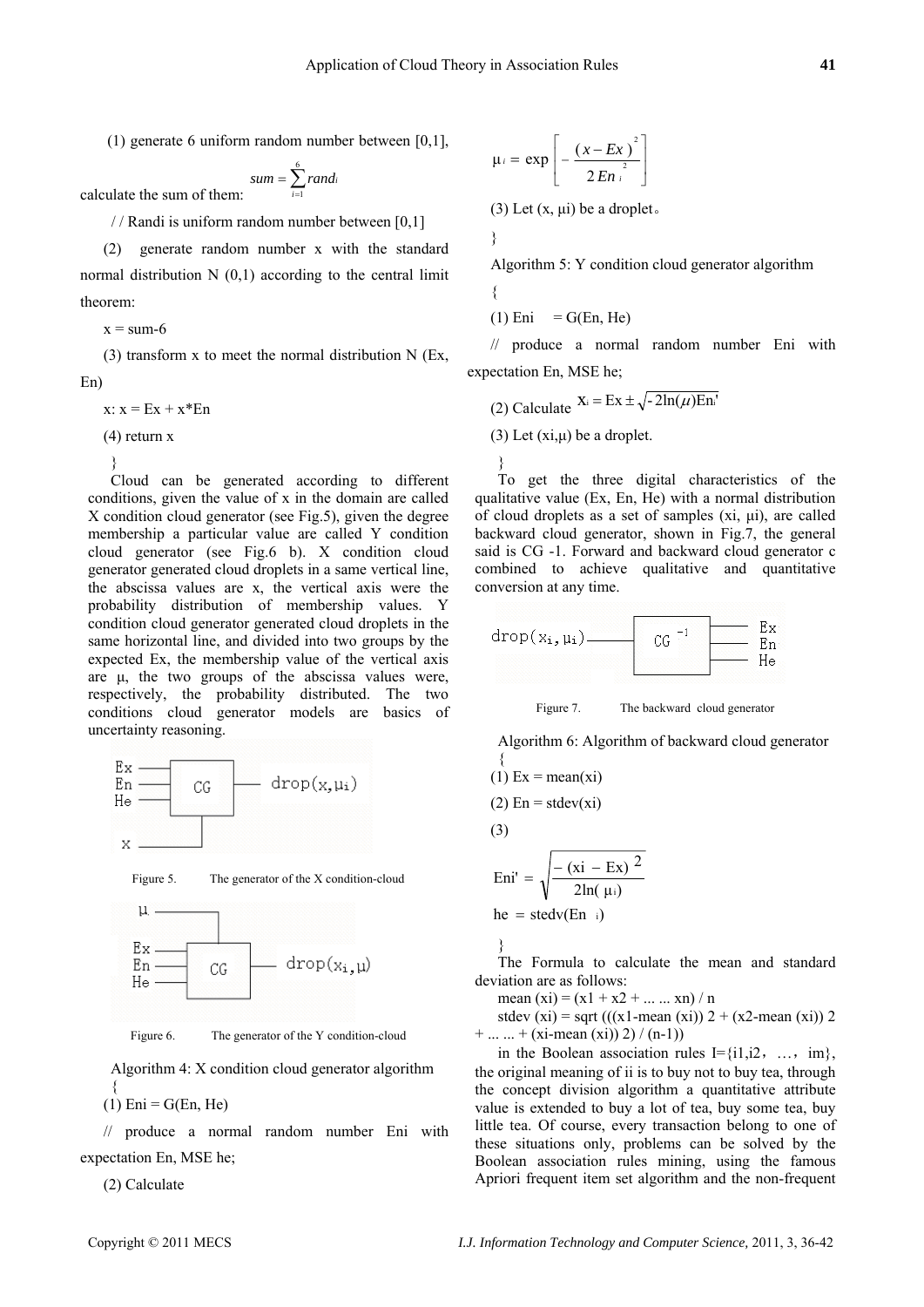(1) generate 6 uniform random number between [0,1],

calculate the sum of them:  $= \sum_{i=1}^{6}$  $i = 1$  $sum = \sum rand_i$ 

/ / Randi is uniform random number between [0,1]

(2) generate random number x with the standard normal distribution  $N(0,1)$  according to the central limit theorem:

 $x = sum-6$ 

(3) transform x to meet the normal distribution N (Ex, En)

 $x: x = Ex + x*En$ 

(4) return x

}

Cloud can be generated according to different conditions, given the value of x in the domain are called X condition cloud generator (see Fig.5), given the degree membership a particular value are called Y condition cloud generator (see Fig.6 b). X condition cloud generator generated cloud droplets in a same vertical line, the abscissa values are x, the vertical axis were the probability distribution of membership values. Y condition cloud generator generated cloud droplets in the same horizontal line, and divided into two groups by the expected Ex, the membership value of the vertical axis are μ, the two groups of the abscissa values were, respectively, the probability distributed. The two conditions cloud generator models are basics of uncertainty reasoning.







Figure 6. The generator of the Y condition-cloud

Algorithm 4: X condition cloud generator algorithm {

 $(1)$  Eni = G(En, He)

// produce a normal random number Eni with expectation En, MSE he;

(2) Calculate

$$
\mu_i = \exp\left[-\frac{(x - Ex)^2}{2 En^{\frac{2}{i}}}\right]
$$

(3) Let  $(x, \mu i)$  be a droplet.

}

Algorithm 5: Y condition cloud generator algorithm

$$
\{ \qquad \qquad
$$

 $(1)$  Eni = G(En, He)

// produce a normal random number Eni with expectation En, MSE he;

(2) Calculate  $X_i = Ex \pm \sqrt{-2\ln(\mu)En_i'}$ (3) Let (xi,μ) be a droplet. }

To get the three digital characteristics of the qualitative value (Ex, En, He) with a normal distribution of cloud droplets as a set of samples (xi, μi), are called backward cloud generator, shown in Fig.7, the general said is CG -1. Forward and backward cloud generator c combined to achieve qualitative and quantitative conversion at any time.



Figure 7. The backward cloud generator

Algorithm 6: Algorithm of backward cloud generator {

(1) Ex = mean(xi)  
\n(2) En = stdev(xi)  
\n(3)  
\nEni' = 
$$
\sqrt{\frac{-(xi - Ex)^2}{2ln(\mu)}}
$$

$$
he = stedv(En_{i})
$$

}

The Formula to calculate the mean and standard deviation are as follows:

mean  $(xi) = (x1 + x2 + ... ... xn) / n$ 

stdev (xi) = sqrt (((x1-mean (xi))  $2 + (x2 - \text{mean } (xi))$  2  $+ ... ... + (xi-mean (xi)) 2) / (n-1)$ 

in the Boolean association rules  $I = \{i1, i2, ..., im\}$ , the original meaning of ii is to buy not to buy tea, through the concept division algorithm a quantitative attribute value is extended to buy a lot of tea, buy some tea, buy little tea. Of course, every transaction belong to one of these situations only, problems can be solved by the Boolean association rules mining, using the famous Apriori frequent item set algorithm and the non-frequent